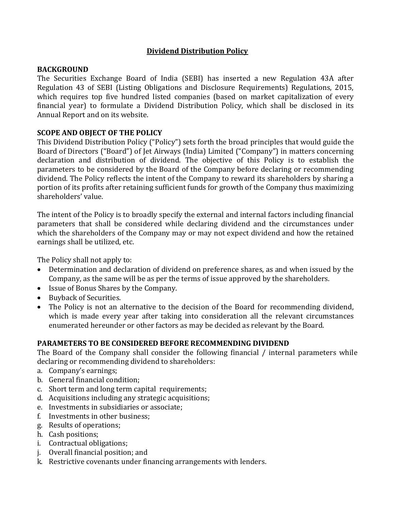## **Dividend Distribution Policy**

### **BACKGROUND**

The Securities Exchange Board of India (SEBI) has inserted a new Regulation 43A after Regulation 43 of SEBI (Listing Obligations and Disclosure Requirements) Regulations, 2015, which requires top five hundred listed companies (based on market capitalization of every financial year) to formulate a Dividend Distribution Policy, which shall be disclosed in its Annual Report and on its website.

# **SCOPE AND OBJECT OF THE POLICY**

This Dividend Distribution Policy ("Policy") sets forth the broad principles that would guide the Board of Directors ("Board") of Jet Airways (India) Limited ("Company") in matters concerning declaration and distribution of dividend. The objective of this Policy is to establish the parameters to be considered by the Board of the Company before declaring or recommending dividend. The Policy reflects the intent of the Company to reward its shareholders by sharing a portion of its profits after retaining sufficient funds for growth of the Company thus maximizing shareholders' value.

The intent of the Policy is to broadly specify the external and internal factors including financial parameters that shall be considered while declaring dividend and the circumstances under which the shareholders of the Company may or may not expect dividend and how the retained earnings shall be utilized, etc.

The Policy shall not apply to:

- Determination and declaration of dividend on preference shares, as and when issued by the Company, as the same will be as per the terms of issue approved by the shareholders.
- Issue of Bonus Shares by the Company.
- Buyback of Securities.
- The Policy is not an alternative to the decision of the Board for recommending dividend, which is made every year after taking into consideration all the relevant circumstances enumerated hereunder or other factors as may be decided as relevant by the Board.

# **PARAMETERS TO BE CONSIDERED BEFORE RECOMMENDING DIVIDEND**

The Board of the Company shall consider the following financial / internal parameters while declaring or recommending dividend to shareholders:

- a. Company's earnings;
- b. General financial condition;
- c. Short term and long term capital requirements;
- d. Acquisitions including any strategic acquisitions;
- e. Investments in subsidiaries or associate;
- f. Investments in other business;
- g. Results of operations;
- h. Cash positions;
- i. Contractual obligations;
- j. Overall financial position; and
- k. Restrictive covenants under financing arrangements with lenders.